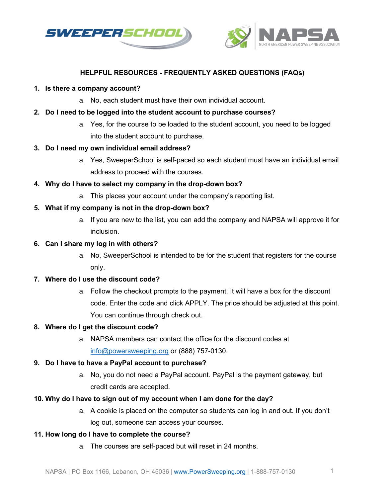



# **HELPFUL RESOURCES - FREQUENTLY ASKED QUESTIONS (FAQs)**

### **1. Is there a company account?**

a. No, each student must have their own individual account.

## **2. Do I need to be logged into the student account to purchase courses?**

a. Yes, for the course to be loaded to the student account, you need to be logged into the student account to purchase.

## **3. Do I need my own individual email address?**

- a. Yes, SweeperSchool is self-paced so each student must have an individual email address to proceed with the courses.
- **4. Why do I have to select my company in the drop-down box?** 
	- a. This places your account under the company's reporting list.

## **5. What if my company is not in the drop-down box?**

a. If you are new to the list, you can add the company and NAPSA will approve it for inclusion.

## **6. Can I share my log in with others?**

a. No, SweeperSchool is intended to be for the student that registers for the course only.

#### **7. Where do I use the discount code?**

a. Follow the checkout prompts to the payment. It will have a box for the discount code. Enter the code and click APPLY. The price should be adjusted at this point. You can continue through check out.

#### **8. Where do I get the discount code?**

a. NAPSA members can contact the office for the discount codes at [info@powersweeping.org](mailto:info@powersweeping.org) or (888) 757-0130.

# **9. Do I have to have a PayPal account to purchase?**

a. No, you do not need a PayPal account. PayPal is the payment gateway, but credit cards are accepted.

# **10. Why do I have to sign out of my account when I am done for the day?**

a. A cookie is placed on the computer so students can log in and out. If you don't log out, someone can access your courses.

# **11. How long do I have to complete the course?**

a. The courses are self-paced but will reset in 24 months.